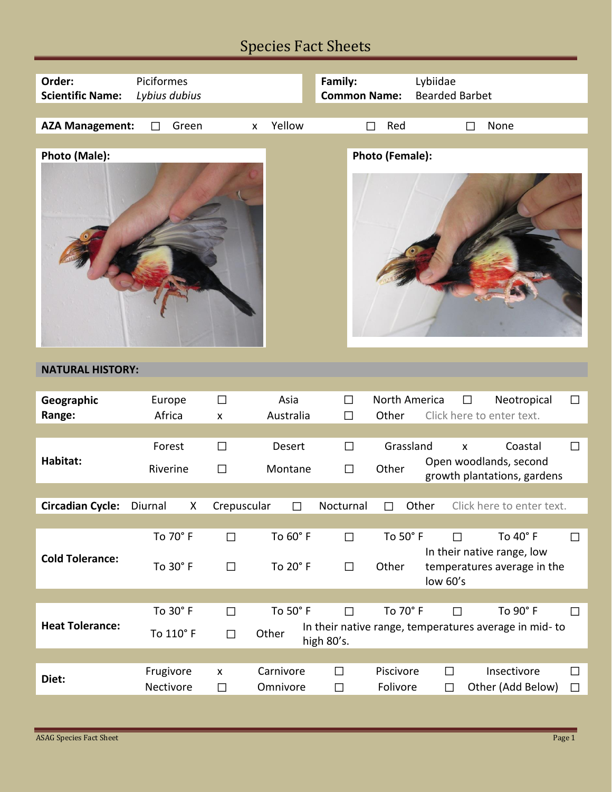## Species Fact Sheets

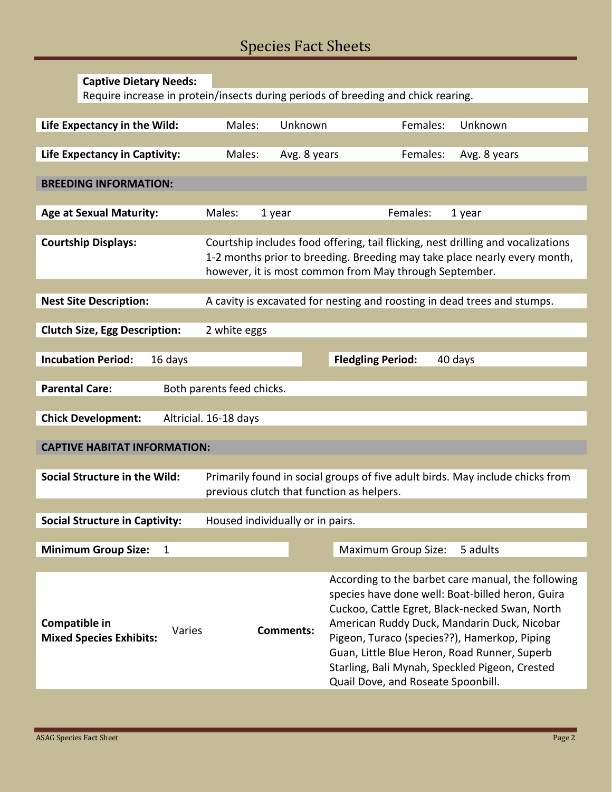# Species Fact Sheets

| <b>Captive Dietary Needs:</b>                                                                                  |                                                                                                                                                                                                                         |                  |                                                                                                                                                                                                                                                                                                                                           |              |
|----------------------------------------------------------------------------------------------------------------|-------------------------------------------------------------------------------------------------------------------------------------------------------------------------------------------------------------------------|------------------|-------------------------------------------------------------------------------------------------------------------------------------------------------------------------------------------------------------------------------------------------------------------------------------------------------------------------------------------|--------------|
| Require increase in protein/insects during periods of breeding and chick rearing.                              |                                                                                                                                                                                                                         |                  |                                                                                                                                                                                                                                                                                                                                           |              |
|                                                                                                                |                                                                                                                                                                                                                         |                  |                                                                                                                                                                                                                                                                                                                                           |              |
| Life Expectancy in the Wild:                                                                                   | Males:                                                                                                                                                                                                                  | Unknown          | Females:                                                                                                                                                                                                                                                                                                                                  | Unknown      |
| Life Expectancy in Captivity:                                                                                  | Males:                                                                                                                                                                                                                  | Avg. 8 years     | Females:                                                                                                                                                                                                                                                                                                                                  | Avg. 8 years |
| <b>BREEDING INFORMATION:</b>                                                                                   |                                                                                                                                                                                                                         |                  |                                                                                                                                                                                                                                                                                                                                           |              |
|                                                                                                                |                                                                                                                                                                                                                         |                  |                                                                                                                                                                                                                                                                                                                                           |              |
| <b>Age at Sexual Maturity:</b>                                                                                 | Males:                                                                                                                                                                                                                  | 1 year           | Females:<br>1 year                                                                                                                                                                                                                                                                                                                        |              |
|                                                                                                                |                                                                                                                                                                                                                         |                  |                                                                                                                                                                                                                                                                                                                                           |              |
| <b>Courtship Displays:</b>                                                                                     | Courtship includes food offering, tail flicking, nest drilling and vocalizations<br>1-2 months prior to breeding. Breeding may take place nearly every month,<br>however, it is most common from May through September. |                  |                                                                                                                                                                                                                                                                                                                                           |              |
|                                                                                                                |                                                                                                                                                                                                                         |                  |                                                                                                                                                                                                                                                                                                                                           |              |
| <b>Nest Site Description:</b>                                                                                  |                                                                                                                                                                                                                         |                  | A cavity is excavated for nesting and roosting in dead trees and stumps.                                                                                                                                                                                                                                                                  |              |
|                                                                                                                |                                                                                                                                                                                                                         |                  |                                                                                                                                                                                                                                                                                                                                           |              |
| <b>Clutch Size, Egg Description:</b>                                                                           | 2 white eggs                                                                                                                                                                                                            |                  |                                                                                                                                                                                                                                                                                                                                           |              |
| <b>Incubation Period:</b><br>16 days                                                                           |                                                                                                                                                                                                                         |                  | <b>Fledgling Period:</b><br>40 days                                                                                                                                                                                                                                                                                                       |              |
|                                                                                                                |                                                                                                                                                                                                                         |                  |                                                                                                                                                                                                                                                                                                                                           |              |
| <b>Parental Care:</b><br>Both parents feed chicks.                                                             |                                                                                                                                                                                                                         |                  |                                                                                                                                                                                                                                                                                                                                           |              |
|                                                                                                                |                                                                                                                                                                                                                         |                  |                                                                                                                                                                                                                                                                                                                                           |              |
| <b>Chick Development:</b><br>Altricial. 16-18 days                                                             |                                                                                                                                                                                                                         |                  |                                                                                                                                                                                                                                                                                                                                           |              |
|                                                                                                                |                                                                                                                                                                                                                         |                  |                                                                                                                                                                                                                                                                                                                                           |              |
| <b>CAPTIVE HABITAT INFORMATION:</b>                                                                            |                                                                                                                                                                                                                         |                  |                                                                                                                                                                                                                                                                                                                                           |              |
| Social Structure in the Wild:<br>Primarily found in social groups of five adult birds. May include chicks from |                                                                                                                                                                                                                         |                  |                                                                                                                                                                                                                                                                                                                                           |              |
| previous clutch that function as helpers.                                                                      |                                                                                                                                                                                                                         |                  |                                                                                                                                                                                                                                                                                                                                           |              |
|                                                                                                                |                                                                                                                                                                                                                         |                  |                                                                                                                                                                                                                                                                                                                                           |              |
| <b>Social Structure in Captivity:</b><br>Housed individually or in pairs.                                      |                                                                                                                                                                                                                         |                  |                                                                                                                                                                                                                                                                                                                                           |              |
|                                                                                                                |                                                                                                                                                                                                                         |                  |                                                                                                                                                                                                                                                                                                                                           |              |
| <b>Minimum Group Size:</b><br>$\mathbf{1}$                                                                     |                                                                                                                                                                                                                         |                  | <b>Maximum Group Size:</b>                                                                                                                                                                                                                                                                                                                | 5 adults     |
|                                                                                                                |                                                                                                                                                                                                                         |                  | According to the barbet care manual, the following                                                                                                                                                                                                                                                                                        |              |
| Compatible in<br>Varies<br><b>Mixed Species Exhibits:</b>                                                      |                                                                                                                                                                                                                         | <b>Comments:</b> | species have done well: Boat-billed heron, Guira<br>Cuckoo, Cattle Egret, Black-necked Swan, North<br>American Ruddy Duck, Mandarin Duck, Nicobar<br>Pigeon, Turaco (species??), Hamerkop, Piping<br>Guan, Little Blue Heron, Road Runner, Superb<br>Starling, Bali Mynah, Speckled Pigeon, Crested<br>Quail Dove, and Roseate Spoonbill. |              |